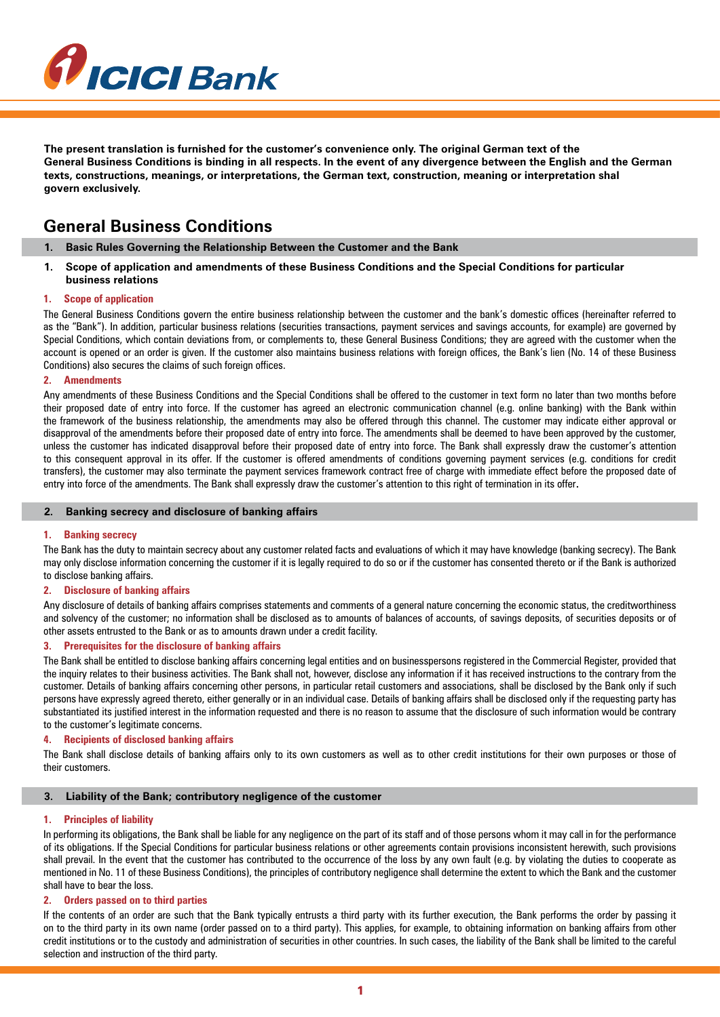

**The present translation is furnished for the customer's convenience only. The original German text of the General Business Conditions is binding in all respects. In the event of any divergence between the English and the German texts, constructions, meanings, or interpretations, the German text, construction, meaning or interpretation shal govern exclusively.**

# **General Business Conditions**

- **1. Basic Rules Governing the Relationship Between the Customer and the Bank**
- **1. Scope of application and amendments of these Business Conditions and the Special Conditions for particular business relations**

## **1. Scope of application**

The General Business Conditions govern the entire business relationship between the customer and the bank's domestic offices (hereinafter referred to as the "Bank"). In addition, particular business relations (securities transactions, payment services and savings accounts, for example) are governed by Special Conditions, which contain deviations from, or complements to, these General Business Conditions; they are agreed with the customer when the account is opened or an order is given. If the customer also maintains business relations with foreign offices, the Bank's lien (No. 14 of these Business Conditions) also secures the claims of such foreign offices.

## **2. Amendments**

Any amendments of these Business Conditions and the Special Conditions shall be offered to the customer in text form no later than two months before their proposed date of entry into force. If the customer has agreed an electronic communication channel (e.g. online banking) with the Bank within the framework of the business relationship, the amendments may also be offered through this channel. The customer may indicate either approval or disapproval of the amendments before their proposed date of entry into force. The amendments shall be deemed to have been approved by the customer, unless the customer has indicated disapproval before their proposed date of entry into force. The Bank shall expressly draw the customer's attention to this consequent approval in its offer. If the customer is offered amendments of conditions governing payment services (e.g. conditions for credit transfers), the customer may also terminate the payment services framework contract free of charge with immediate effect before the proposed date of entry into force of the amendments. The Bank shall expressly draw the customer's attention to this right of termination in its offer.

#### **2. Banking secrecy and disclosure of banking affairs**

## **1. Banking secrecy**

The Bank has the duty to maintain secrecy about any customer related facts and evaluations of which it may have knowledge (banking secrecy). The Bank may only disclose information concerning the customer if it is legally required to do so or if the customer has consented thereto or if the Bank is authorized to disclose banking affairs.

#### **2. Disclosure of banking affairs**

Any disclosure of details of banking affairs comprises statements and comments of a general nature concerning the economic status, the creditworthiness and solvency of the customer; no information shall be disclosed as to amounts of balances of accounts, of savings deposits, of securities deposits or of other assets entrusted to the Bank or as to amounts drawn under a credit facility.

#### **3. Prerequisites for the disclosure of banking affairs**

The Bank shall be entitled to disclose banking affairs concerning legal entities and on businesspersons registered in the Commercial Register, provided that the inquiry relates to their business activities. The Bank shall not, however, disclose any information if it has received instructions to the contrary from the customer. Details of banking affairs concerning other persons, in particular retail customers and associations, shall be disclosed by the Bank only if such persons have expressly agreed thereto, either generally or in an individual case. Details of banking affairs shall be disclosed only if the requesting party has substantiated its justified interest in the information requested and there is no reason to assume that the disclosure of such information would be contrary to the customer's legitimate concerns.

## **4. Recipients of disclosed banking affairs**

The Bank shall disclose details of banking affairs only to its own customers as well as to other credit institutions for their own purposes or those of their customers.

#### **3. Liability of the Bank; contributory negligence of the customer**

#### **1. Principles of liability**

In performing its obligations, the Bank shall be liable for any negligence on the part of its staff and of those persons whom it may call in for the performance of its obligations. If the Special Conditions for particular business relations or other agreements contain provisions inconsistent herewith, such provisions shall prevail. In the event that the customer has contributed to the occurrence of the loss by any own fault (e.g. by violating the duties to cooperate as mentioned in No. 11 of these Business Conditions), the principles of contributory negligence shall determine the extent to which the Bank and the customer shall have to bear the loss.

#### **2. Orders passed on to third parties**

If the contents of an order are such that the Bank typically entrusts a third party with its further execution, the Bank performs the order by passing it on to the third party in its own name (order passed on to a third party). This applies, for example, to obtaining information on banking affairs from other credit institutions or to the custody and administration of securities in other countries. In such cases, the liability of the Bank shall be limited to the careful selection and instruction of the third party.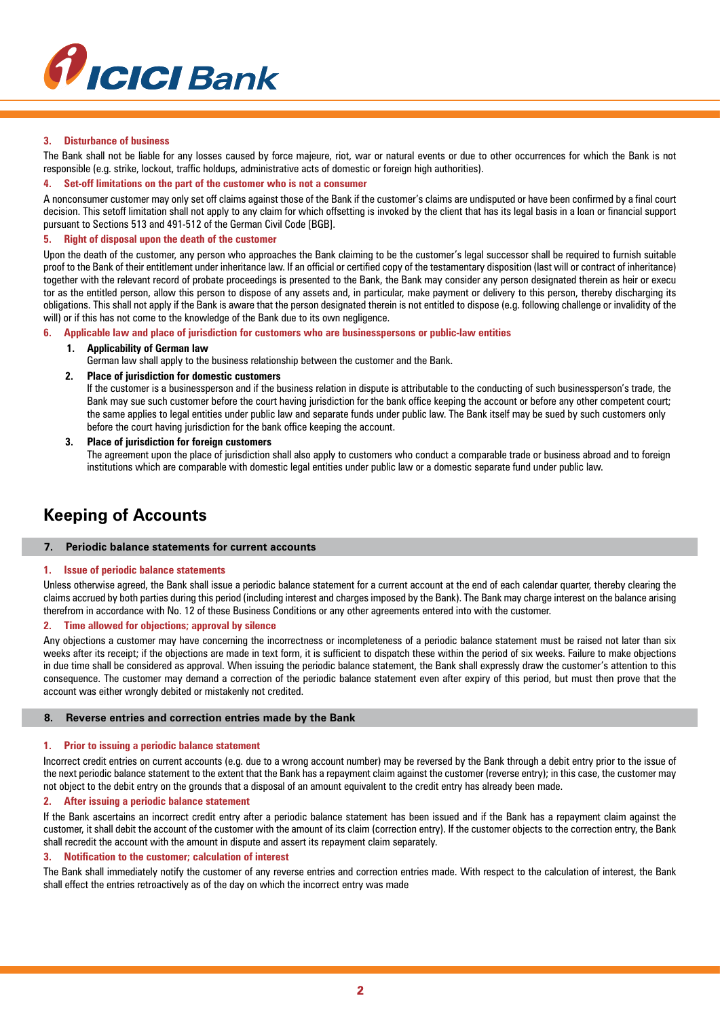

## **3. Disturbance of business**

The Bank shall not be liable for any losses caused by force majeure, riot, war or natural events or due to other occurrences for which the Bank is not responsible (e.g. strike, lockout, traffic holdups, administrative acts of domestic or foreign high authorities).

## **4. Set-off limitations on the part of the customer who is not a consumer**

A nonconsumer customer may only set off claims against those of the Bank if the customer's claims are undisputed or have been confirmed by a final court decision. This setoff limitation shall not apply to any claim for which offsetting is invoked by the client that has its legal basis in a loan or financial support pursuant to Sections 513 and 491-512 of the German Civil Code [BGB].

## **5. Right of disposal upon the death of the customer**

Upon the death of the customer, any person who approaches the Bank claiming to be the customer's legal successor shall be required to furnish suitable proof to the Bank of their entitlement under inheritance law. If an official or certified copy of the testamentary disposition (last will or contract of inheritance) together with the relevant record of probate proceedings is presented to the Bank, the Bank may consider any person designated therein as heir or execu tor as the entitled person, allow this person to dispose of any assets and, in particular, make payment or delivery to this person, thereby discharging its obligations. This shall not apply if the Bank is aware that the person designated therein is not entitled to dispose (e.g. following challenge or invalidity of the will) or if this has not come to the knowledge of the Bank due to its own negligence.

#### **6. Applicable law and place of jurisdiction for customers who are businesspersons or public-law entities**

## **1. Applicability of German law**

German law shall apply to the business relationship between the customer and the Bank.

## **2. Place of jurisdiction for domestic customers**

If the customer is a businessperson and if the business relation in dispute is attributable to the conducting of such businessperson's trade, the Bank may sue such customer before the court having jurisdiction for the bank office keeping the account or before any other competent court; the same applies to legal entities under public law and separate funds under public law. The Bank itself may be sued by such customers only before the court having jurisdiction for the bank office keeping the account.

## **3. Place of jurisdiction for foreign customers**

The agreement upon the place of jurisdiction shall also apply to customers who conduct a comparable trade or business abroad and to foreign institutions which are comparable with domestic legal entities under public law or a domestic separate fund under public law.

# **Keeping of Accounts**

## **7. Periodic balance statements for current accounts**

#### **1. Issue of periodic balance statements**

Unless otherwise agreed, the Bank shall issue a periodic balance statement for a current account at the end of each calendar quarter, thereby clearing the claims accrued by both parties during this period (including interest and charges imposed by the Bank). The Bank may charge interest on the balance arising therefrom in accordance with No. 12 of these Business Conditions or any other agreements entered into with the customer.

#### **2. Time allowed for objections; approval by silence**

Any objections a customer may have concerning the incorrectness or incompleteness of a periodic balance statement must be raised not later than six weeks after its receipt; if the objections are made in text form, it is sufficient to dispatch these within the period of six weeks. Failure to make objections in due time shall be considered as approval. When issuing the periodic balance statement, the Bank shall expressly draw the customer's attention to this consequence. The customer may demand a correction of the periodic balance statement even after expiry of this period, but must then prove that the account was either wrongly debited or mistakenly not credited.

## **8. Reverse entries and correction entries made by the Bank**

#### **1. Prior to issuing a periodic balance statement**

Incorrect credit entries on current accounts (e.g. due to a wrong account number) may be reversed by the Bank through a debit entry prior to the issue of the next periodic balance statement to the extent that the Bank has a repayment claim against the customer (reverse entry); in this case, the customer may not object to the debit entry on the grounds that a disposal of an amount equivalent to the credit entry has already been made.

## **2. After issuing a periodic balance statement**

If the Bank ascertains an incorrect credit entry after a periodic balance statement has been issued and if the Bank has a repayment claim against the customer, it shall debit the account of the customer with the amount of its claim (correction entry). If the customer objects to the correction entry, the Bank shall recredit the account with the amount in dispute and assert its repayment claim separately.

#### **3. Notification to the customer; calculation of interest**

The Bank shall immediately notify the customer of any reverse entries and correction entries made. With respect to the calculation of interest, the Bank shall effect the entries retroactively as of the day on which the incorrect entry was made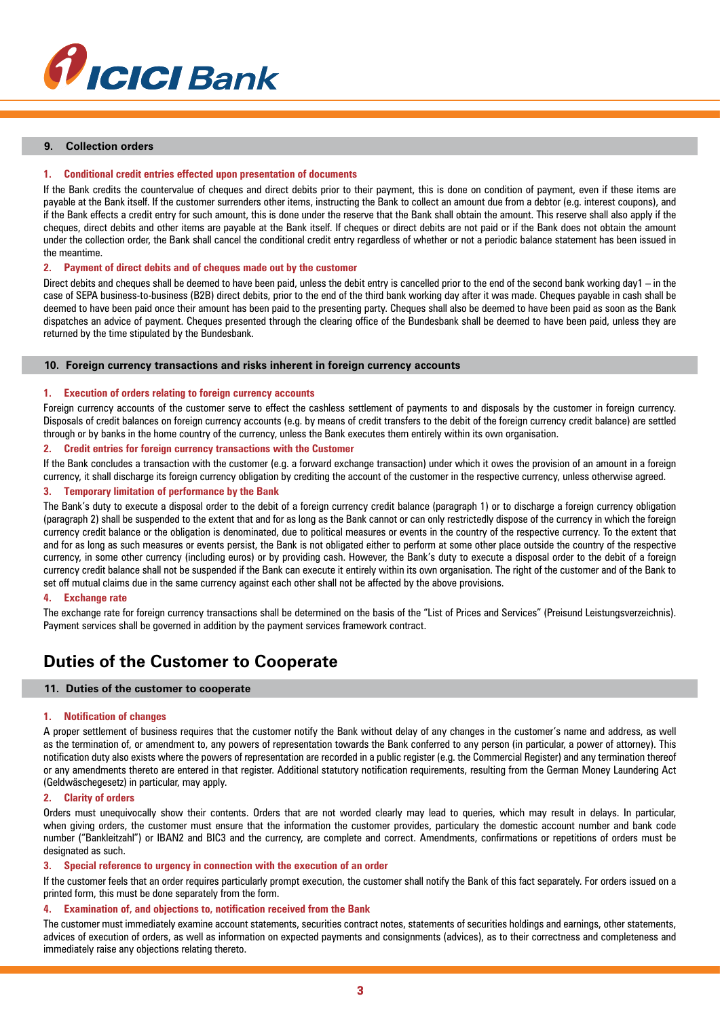

## **9. Collection orders**

## **1. Conditional credit entries effected upon presentation of documents**

If the Bank credits the countervalue of cheques and direct debits prior to their payment, this is done on condition of payment, even if these items are payable at the Bank itself. If the customer surrenders other items, instructing the Bank to collect an amount due from a debtor (e.g. interest coupons), and if the Bank effects a credit entry for such amount, this is done under the reserve that the Bank shall obtain the amount. This reserve shall also apply if the cheques, direct debits and other items are payable at the Bank itself. If cheques or direct debits are not paid or if the Bank does not obtain the amount under the collection order, the Bank shall cancel the conditional credit entry regardless of whether or not a periodic balance statement has been issued in the meantime.

#### **2. Payment of direct debits and of cheques made out by the customer**

Direct debits and cheques shall be deemed to have been paid, unless the debit entry is cancelled prior to the end of the second bank working day1 – in the case of SEPA business-to-business (B2B) direct debits, prior to the end of the third bank working day after it was made. Cheques payable in cash shall be deemed to have been paid once their amount has been paid to the presenting party. Cheques shall also be deemed to have been paid as soon as the Bank dispatches an advice of payment. Cheques presented through the clearing office of the Bundesbank shall be deemed to have been paid, unless they are returned by the time stipulated by the Bundesbank.

#### **10. Foreign currency transactions and risks inherent in foreign currency accounts**

#### **1. Execution of orders relating to foreign currency accounts**

Foreign currency accounts of the customer serve to effect the cashless settlement of payments to and disposals by the customer in foreign currency. Disposals of credit balances on foreign currency accounts (e.g. by means of credit transfers to the debit of the foreign currency credit balance) are settled through or by banks in the home country of the currency, unless the Bank executes them entirely within its own organisation.

#### **2. Credit entries for foreign currency transactions with the Customer**

If the Bank concludes a transaction with the customer (e.g. a forward exchange transaction) under which it owes the provision of an amount in a foreign currency, it shall discharge its foreign currency obligation by crediting the account of the customer in the respective currency, unless otherwise agreed.

#### **3. Temporary limitation of performance by the Bank**

The Bank's duty to execute a disposal order to the debit of a foreign currency credit balance (paragraph 1) or to discharge a foreign currency obligation (paragraph 2) shall be suspended to the extent that and for as long as the Bank cannot or can only restrictedly dispose of the currency in which the foreign currency credit balance or the obligation is denominated, due to political measures or events in the country of the respective currency. To the extent that and for as long as such measures or events persist, the Bank is not obligated either to perform at some other place outside the country of the respective currency, in some other currency (including euros) or by providing cash. However, the Bank's duty to execute a disposal order to the debit of a foreign currency credit balance shall not be suspended if the Bank can execute it entirely within its own organisation. The right of the customer and of the Bank to set off mutual claims due in the same currency against each other shall not be affected by the above provisions.

#### **4. Exchange rate**

The exchange rate for foreign currency transactions shall be determined on the basis of the "List of Prices and Services" (Preisund Leistungsverzeichnis). Payment services shall be governed in addition by the payment services framework contract.

# **Duties of the Customer to Cooperate**

#### **11. Duties of the customer to cooperate**

#### **1. Notification of changes**

A proper settlement of business requires that the customer notify the Bank without delay of any changes in the customer's name and address, as well as the termination of, or amendment to, any powers of representation towards the Bank conferred to any person (in particular, a power of attorney). This notification duty also exists where the powers of representation are recorded in a public register (e.g. the Commercial Register) and any termination thereof or any amendments thereto are entered in that register. Additional statutory notification requirements, resulting from the German Money Laundering Act (Geldwäschegesetz) in particular, may apply.

## **2. Clarity of orders**

Orders must unequivocally show their contents. Orders that are not worded clearly may lead to queries, which may result in delays. In particular, when giving orders, the customer must ensure that the information the customer provides, particulary the domestic account number and bank code number ("Bankleitzahl") or IBAN2 and BIC3 and the currency, are complete and correct. Amendments, confirmations or repetitions of orders must be designated as such.

## **3. Special reference to urgency in connection with the execution of an order**

If the customer feels that an order requires particularly prompt execution, the customer shall notify the Bank of this fact separately. For orders issued on a printed form, this must be done separately from the form.

## **4. Examination of, and objections to, notification received from the Bank**

The customer must immediately examine account statements, securities contract notes, statements of securities holdings and earnings, other statements, advices of execution of orders, as well as information on expected payments and consignments (advices), as to their correctness and completeness and immediately raise any objections relating thereto.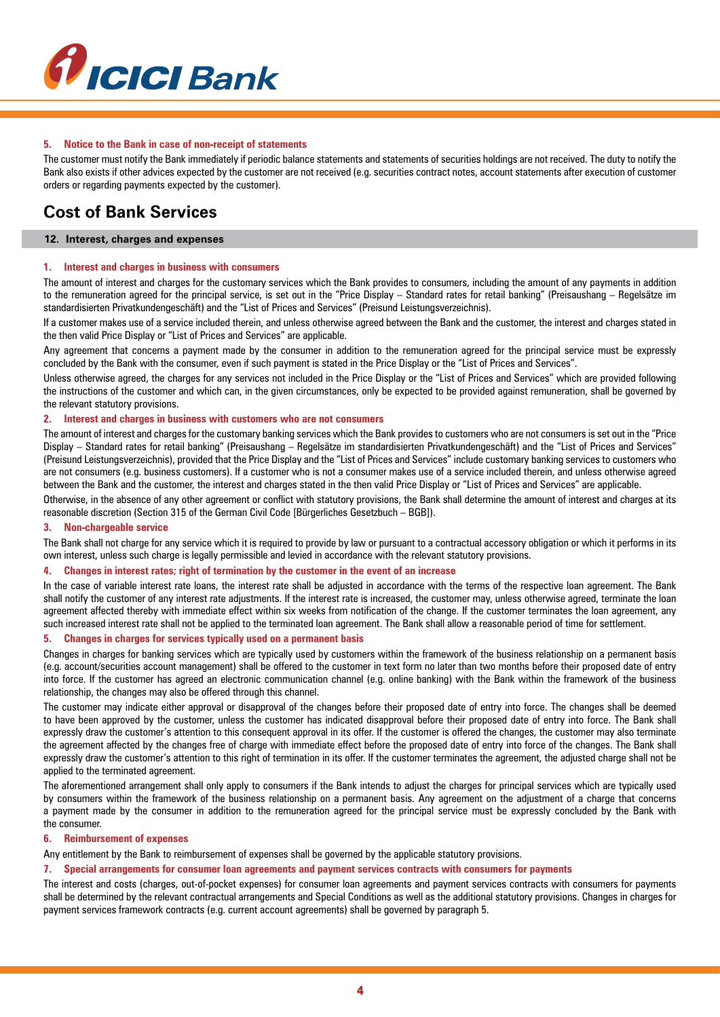

## **5. Notice to the Bank in case of non-receipt of statements**

The customer must notify the Bank immediately if periodic balance statements and statements of securities holdings are not received. The duty to notify the Bank also exists if other advices expected by the customer are not received (e.g. securities contract notes, account statements after execution of customer orders or regarding payments expected by the customer).

# **Cost of Bank Services**

#### **12. Interest, charges and expenses**

## **1. Interest and charges in business with consumers**

The amount of interest and charges for the customary services which the Bank provides to consumers, including the amount of any payments in addition to the remuneration agreed for the principal service, is set out in the "Price Display – Standard rates for retail banking" (Preisaushang – Regelsätze im standardisierten Privatkundengeschäft) and the "List of Prices and Services" (Preisund Leistungsverzeichnis).

If a customer makes use of a service included therein, and unless otherwise agreed between the Bank and the customer, the interest and charges stated in the then valid Price Display or "List of Prices and Services" are applicable.

Any agreement that concerns a payment made by the consumer in addition to the remuneration agreed for the principal service must be expressly concluded by the Bank with the consumer, even if such payment is stated in the Price Display or the "List of Prices and Services".

Unless otherwise agreed, the charges for any services not included in the Price Display or the "List of Prices and Services" which are provided following the instructions of the customer and which can, in the given circumstances, only be expected to be provided against remuneration, shall be governed by the relevant statutory provisions.

## **2. Interest and charges in business with customers who are not consumers**

The amount of interest and charges for the customary banking services which the Bank provides to customers who are not consumers is set out in the "Price Display – Standard rates for retail banking" (Preisaushang – Regelsätze im standardisierten Privatkundengeschäft) and the "List of Prices and Services" (Preisund Leistungsverzeichnis), provided that the Price Display and the "List of Prices and Services" include customary banking services to customers who are not consumers (e.g. business customers). If a customer who is not a consumer makes use of a service included therein, and unless otherwise agreed between the Bank and the customer, the interest and charges stated in the then valid Price Display or "List of Prices and Services" are applicable.

Otherwise, in the absence of any other agreement or conflict with statutory provisions, the Bank shall determine the amount of interest and charges at its reasonable discretion (Section 315 of the German Civil Code [Bürgerliches Gesetzbuch – BGB]).

#### **3. Non-chargeable service**

The Bank shall not charge for any service which it is required to provide by law or pursuant to a contractual accessory obligation or which it performs in its own interest, unless such charge is legally permissible and levied in accordance with the relevant statutory provisions.

#### **4. Changes in interest rates; right of termination by the customer in the event of an increase**

In the case of variable interest rate loans, the interest rate shall be adjusted in accordance with the terms of the respective loan agreement. The Bank shall notify the customer of any interest rate adjustments. If the interest rate is increased, the customer may, unless otherwise agreed, terminate the loan agreement affected thereby with immediate effect within six weeks from notification of the change. If the customer terminates the loan agreement, any such increased interest rate shall not be applied to the terminated loan agreement. The Bank shall allow a reasonable period of time for settlement.

## **5. Changes in charges for services typically used on a permanent basis**

Changes in charges for banking services which are typically used by customers within the framework of the business relationship on a permanent basis (e.g. account/securities account management) shall be offered to the customer in text form no later than two months before their proposed date of entry into force. If the customer has agreed an electronic communication channel (e.g. online banking) with the Bank within the framework of the business relationship, the changes may also be offered through this channel.

The customer may indicate either approval or disapproval of the changes before their proposed date of entry into force. The changes shall be deemed to have been approved by the customer, unless the customer has indicated disapproval before their proposed date of entry into force. The Bank shall expressly draw the customer's attention to this consequent approval in its offer. If the customer is offered the changes, the customer may also terminate the agreement affected by the changes free of charge with immediate effect before the proposed date of entry into force of the changes. The Bank shall expressly draw the customer's attention to this right of termination in its offer. If the customer terminates the agreement, the adjusted charge shall not be applied to the terminated agreement.

The aforementioned arrangement shall only apply to consumers if the Bank intends to adjust the charges for principal services which are typically used by consumers within the framework of the business relationship on a permanent basis. Any agreement on the adjustment of a charge that concerns a payment made by the consumer in addition to the remuneration agreed for the principal service must be expressly concluded by the Bank with the consumer.

#### **6. Reimbursement of expenses**

Any entitlement by the Bank to reimbursement of expenses shall be governed by the applicable statutory provisions.

## **7. Special arrangements for consumer loan agreements and payment services contracts with consumers for payments**

The interest and costs (charges, out-of-pocket expenses) for consumer loan agreements and payment services contracts with consumers for payments shall be determined by the relevant contractual arrangements and Special Conditions as well as the additional statutory provisions. Changes in charges for payment services framework contracts (e.g. current account agreements) shall be governed by paragraph 5.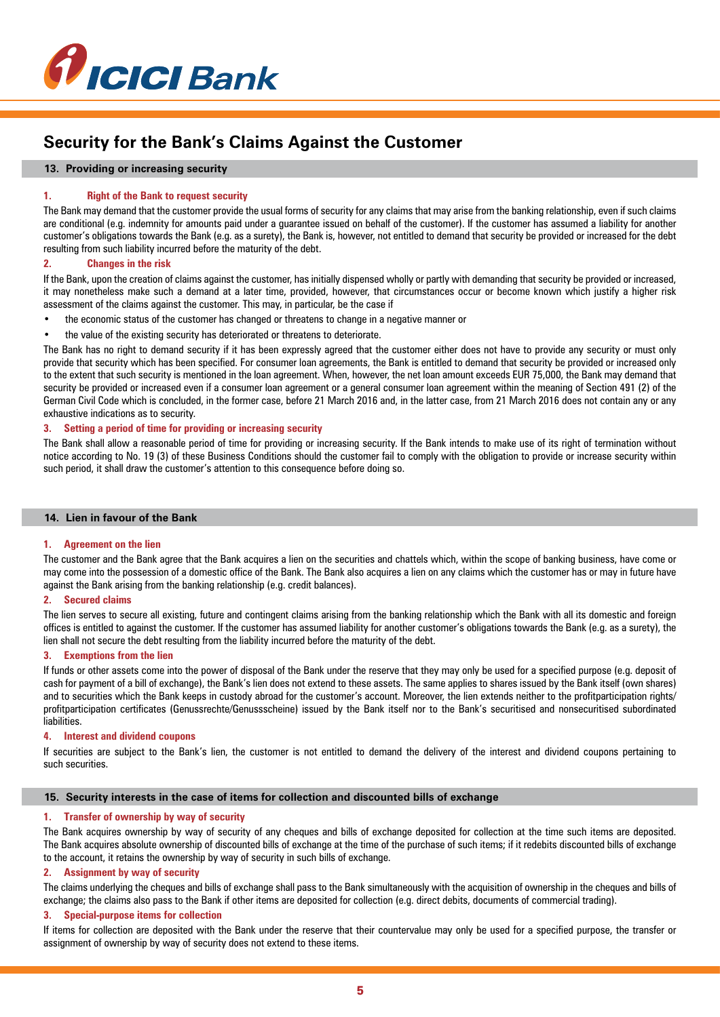

# **Security for the Bank's Claims Against the Customer**

## **13. Providing or increasing security**

## **1. Right of the Bank to request security**

The Bank may demand that the customer provide the usual forms of security for any claims that may arise from the banking relationship, even if such claims are conditional (e.g. indemnity for amounts paid under a guarantee issued on behalf of the customer). If the customer has assumed a liability for another customer's obligations towards the Bank (e.g. as a surety), the Bank is, however, not entitled to demand that security be provided or increased for the debt resulting from such liability incurred before the maturity of the debt.

## **2. Changes in the risk**

If the Bank, upon the creation of claims against the customer, has initially dispensed wholly or partly with demanding that security be provided or increased, it may nonetheless make such a demand at a later time, provided, however, that circumstances occur or become known which justify a higher risk assessment of the claims against the customer. This may, in particular, be the case if

- the economic status of the customer has changed or threatens to change in a negative manner or
- the value of the existing security has deteriorated or threatens to deteriorate.

The Bank has no right to demand security if it has been expressly agreed that the customer either does not have to provide any security or must only provide that security which has been specified. For consumer loan agreements, the Bank is entitled to demand that security be provided or increased only to the extent that such security is mentioned in the loan agreement. When, however, the net loan amount exceeds EUR 75,000, the Bank may demand that security be provided or increased even if a consumer loan agreement or a general consumer loan agreement within the meaning of Section 491 (2) of the German Civil Code which is concluded, in the former case, before 21 March 2016 and, in the latter case, from 21 March 2016 does not contain any or any exhaustive indications as to security.

## **3. Setting a period of time for providing or increasing security**

The Bank shall allow a reasonable period of time for providing or increasing security. If the Bank intends to make use of its right of termination without notice according to No. 19 (3) of these Business Conditions should the customer fail to comply with the obligation to provide or increase security within such period, it shall draw the customer's attention to this consequence before doing so.

## **14. Lien in favour of the Bank**

#### **1. Agreement on the lien**

The customer and the Bank agree that the Bank acquires a lien on the securities and chattels which, within the scope of banking business, have come or may come into the possession of a domestic office of the Bank. The Bank also acquires a lien on any claims which the customer has or may in future have against the Bank arising from the banking relationship (e.g. credit balances).

## **2. Secured claims**

The lien serves to secure all existing, future and contingent claims arising from the banking relationship which the Bank with all its domestic and foreign offices is entitled to against the customer. If the customer has assumed liability for another customer's obligations towards the Bank (e.g. as a surety), the lien shall not secure the debt resulting from the liability incurred before the maturity of the debt.

## **3. Exemptions from the lien**

If funds or other assets come into the power of disposal of the Bank under the reserve that they may only be used for a specified purpose (e.g. deposit of cash for payment of a bill of exchange), the Bank's lien does not extend to these assets. The same applies to shares issued by the Bank itself (own shares) and to securities which the Bank keeps in custody abroad for the customer's account. Moreover, the lien extends neither to the profitparticipation rights/ profitparticipation certificates (Genussrechte/Genussscheine) issued by the Bank itself nor to the Bank's securitised and nonsecuritised subordinated liabilities.

#### **4. Interest and dividend coupons**

If securities are subject to the Bank's lien, the customer is not entitled to demand the delivery of the interest and dividend coupons pertaining to such securities.

## **15. Security interests in the case of items for collection and discounted bills of exchange**

## **1. Transfer of ownership by way of security**

The Bank acquires ownership by way of security of any cheques and bills of exchange deposited for collection at the time such items are deposited. The Bank acquires absolute ownership of discounted bills of exchange at the time of the purchase of such items; if it redebits discounted bills of exchange to the account, it retains the ownership by way of security in such bills of exchange.

## **2. Assignment by way of security**

The claims underlying the cheques and bills of exchange shall pass to the Bank simultaneously with the acquisition of ownership in the cheques and bills of exchange; the claims also pass to the Bank if other items are deposited for collection (e.g. direct debits, documents of commercial trading).

## **3. Special-purpose items for collection**

If items for collection are deposited with the Bank under the reserve that their countervalue may only be used for a specified purpose, the transfer or assignment of ownership by way of security does not extend to these items.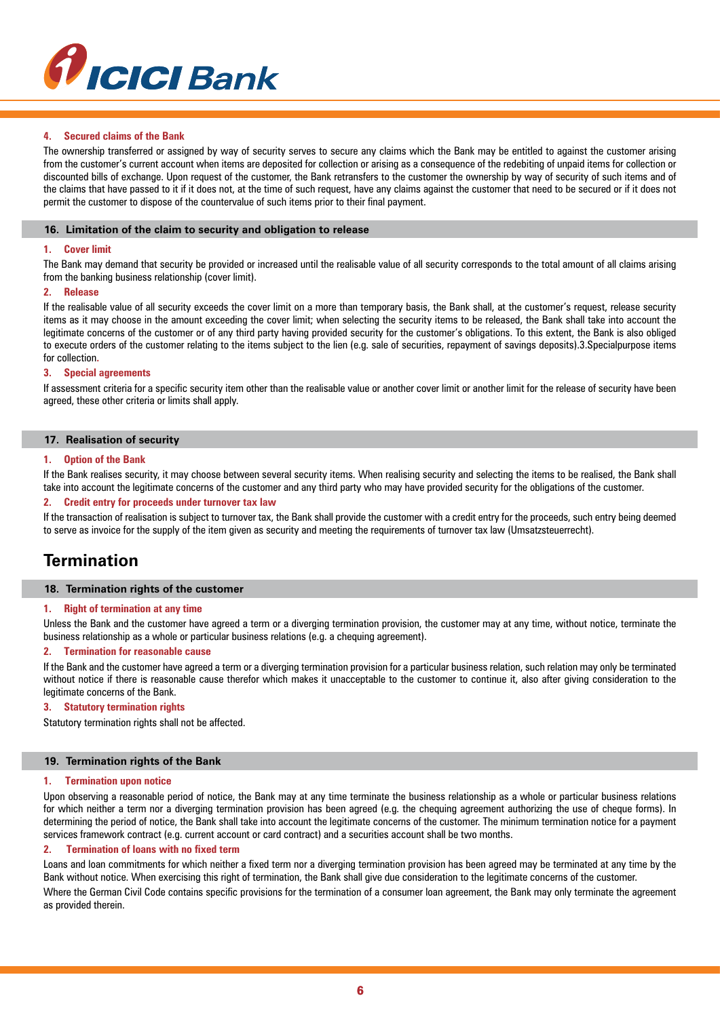

## **4. Secured claims of the Bank**

The ownership transferred or assigned by way of security serves to secure any claims which the Bank may be entitled to against the customer arising from the customer's current account when items are deposited for collection or arising as a consequence of the redebiting of unpaid items for collection or discounted bills of exchange. Upon request of the customer, the Bank retransfers to the customer the ownership by way of security of such items and of the claims that have passed to it if it does not, at the time of such request, have any claims against the customer that need to be secured or if it does not permit the customer to dispose of the countervalue of such items prior to their final payment.

## **16. Limitation of the claim to security and obligation to release**

#### **1. Cover limit**

The Bank may demand that security be provided or increased until the realisable value of all security corresponds to the total amount of all claims arising from the banking business relationship (cover limit).

#### **2. Release**

If the realisable value of all security exceeds the cover limit on a more than temporary basis, the Bank shall, at the customer's request, release security items as it may choose in the amount exceeding the cover limit; when selecting the security items to be released, the Bank shall take into account the legitimate concerns of the customer or of any third party having provided security for the customer's obligations. To this extent, the Bank is also obliged to execute orders of the customer relating to the items subject to the lien (e.g. sale of securities, repayment of savings deposits).3.Specialpurpose items for collection**.**

#### **3. Special agreements**

If assessment criteria for a specific security item other than the realisable value or another cover limit or another limit for the release of security have been agreed, these other criteria or limits shall apply.

## **17. Realisation of security**

#### **1. Option of the Bank**

If the Bank realises security, it may choose between several security items. When realising security and selecting the items to be realised, the Bank shall take into account the legitimate concerns of the customer and any third party who may have provided security for the obligations of the customer.

## **2. Credit entry for proceeds under turnover tax law**

If the transaction of realisation is subject to turnover tax, the Bank shall provide the customer with a credit entry for the proceeds, such entry being deemed to serve as invoice for the supply of the item given as security and meeting the requirements of turnover tax law (Umsatzsteuerrecht).

## **Termination**

## **18. Termination rights of the customer**

#### **1. Right of termination at any time**

Unless the Bank and the customer have agreed a term or a diverging termination provision, the customer may at any time, without notice, terminate the business relationship as a whole or particular business relations (e.g. a chequing agreement).

## **2. Termination for reasonable cause**

If the Bank and the customer have agreed a term or a diverging termination provision for a particular business relation, such relation may only be terminated without notice if there is reasonable cause therefor which makes it unacceptable to the customer to continue it, also after giving consideration to the legitimate concerns of the Bank.

#### **3. Statutory termination rights**

Statutory termination rights shall not be affected.

#### **19. Termination rights of the Bank**

## **1. Termination upon notice**

Upon observing a reasonable period of notice, the Bank may at any time terminate the business relationship as a whole or particular business relations for which neither a term nor a diverging termination provision has been agreed (e.g. the chequing agreement authorizing the use of cheque forms). In determining the period of notice, the Bank shall take into account the legitimate concerns of the customer. The minimum termination notice for a payment services framework contract (e.g. current account or card contract) and a securities account shall be two months.

#### **2. Termination of loans with no fixed term**

Loans and loan commitments for which neither a fixed term nor a diverging termination provision has been agreed may be terminated at any time by the Bank without notice. When exercising this right of termination, the Bank shall give due consideration to the legitimate concerns of the customer.

Where the German Civil Code contains specific provisions for the termination of a consumer loan agreement, the Bank may only terminate the agreement as provided therein.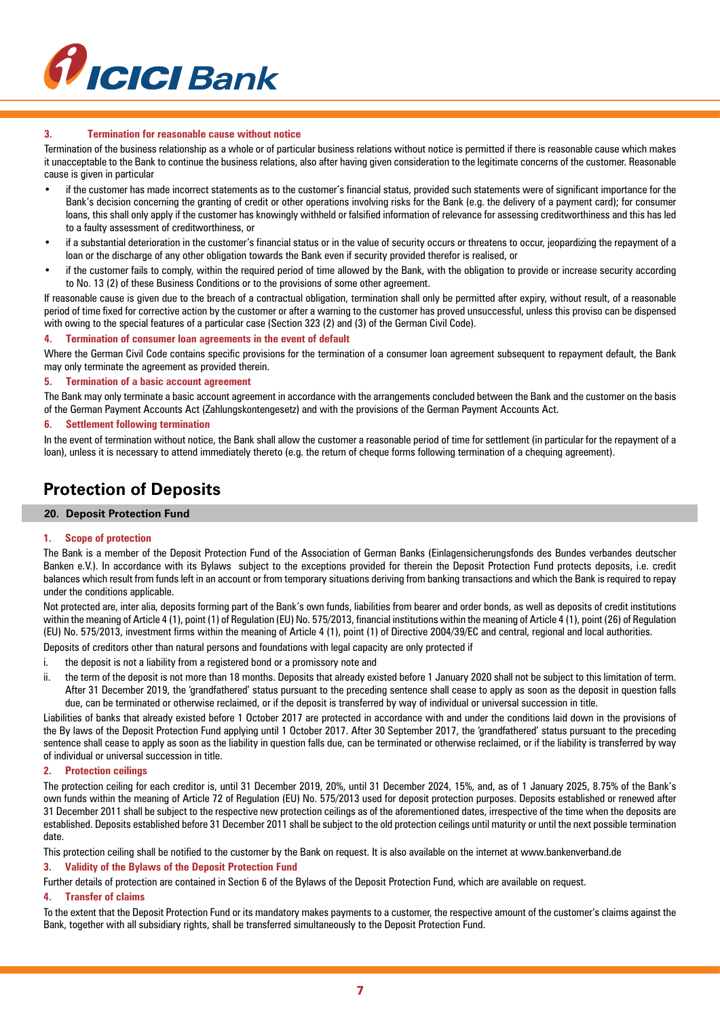

## **3. Termination for reasonable cause without notice**

Termination of the business relationship as a whole or of particular business relations without notice is permitted if there is reasonable cause which makes it unacceptable to the Bank to continue the business relations, also after having given consideration to the legitimate concerns of the customer. Reasonable cause is given in particular

- if the customer has made incorrect statements as to the customer's financial status, provided such statements were of significant importance for the Bank's decision concerning the granting of credit or other operations involving risks for the Bank (e.g. the delivery of a payment card); for consumer loans, this shall only apply if the customer has knowingly withheld or falsified information of relevance for assessing creditworthiness and this has led to a faulty assessment of creditworthiness, or
- if a substantial deterioration in the customer's financial status or in the value of security occurs or threatens to occur, jeopardizing the repayment of a loan or the discharge of any other obligation towards the Bank even if security provided therefor is realised, or
- if the customer fails to comply, within the required period of time allowed by the Bank, with the obligation to provide or increase security according to No. 13 (2) of these Business Conditions or to the provisions of some other agreement.

If reasonable cause is given due to the breach of a contractual obligation, termination shall only be permitted after expiry, without result, of a reasonable period of time fixed for corrective action by the customer or after a warning to the customer has proved unsuccessful, unless this proviso can be dispensed with owing to the special features of a particular case (Section 323 (2) and (3) of the German Civil Code).

## **4. Termination of consumer loan agreements in the event of default**

Where the German Civil Code contains specific provisions for the termination of a consumer loan agreement subsequent to repayment default, the Bank may only terminate the agreement as provided therein.

#### **5. Termination of a basic account agreement**

The Bank may only terminate a basic account agreement in accordance with the arrangements concluded between the Bank and the customer on the basis of the German Payment Accounts Act (Zahlungskontengesetz) and with the provisions of the German Payment Accounts Act.

#### **6. Settlement following termination**

In the event of termination without notice, the Bank shall allow the customer a reasonable period of time for settlement (in particular for the repayment of a loan), unless it is necessary to attend immediately thereto (e.g. the return of cheque forms following termination of a chequing agreement).

# **Protection of Deposits**

## **20. Deposit Protection Fund**

#### **1. Scope of protection**

The Bank is a member of the Deposit Protection Fund of the Association of German Banks (Einlagensicherungsfonds des Bundes verbandes deutscher Banken e.V.). In accordance with its Bylaws subject to the exceptions provided for therein the Deposit Protection Fund protects deposits, i.e. credit balances which result from funds left in an account or from temporary situations deriving from banking transactions and which the Bank is required to repay under the conditions applicable.

Not protected are, inter alia, deposits forming part of the Bank's own funds, liabilities from bearer and order bonds, as well as deposits of credit institutions within the meaning of Article 4 (1), point (1) of Regulation (EU) No. 575/2013, financial institutions within the meaning of Article 4 (1), point (26) of Regulation (EU) No. 575/2013, investment firms within the meaning of Article 4 (1), point (1) of Directive 2004/39/EC and central, regional and local authorities.

Deposits of creditors other than natural persons and foundations with legal capacity are only protected if

- i. the deposit is not a liability from a registered bond or a promissory note and
- ii. the term of the deposit is not more than 18 months. Deposits that already existed before 1 January 2020 shall not be subject to this limitation of term. After 31 December 2019, the 'grandfathered' status pursuant to the preceding sentence shall cease to apply as soon as the deposit in question falls due, can be terminated or otherwise reclaimed, or if the deposit is transferred by way of individual or universal succession in title.

Liabilities of banks that already existed before 1 October 2017 are protected in accordance with and under the conditions laid down in the provisions of the By laws of the Deposit Protection Fund applying until 1 October 2017. After 30 September 2017, the 'grandfathered' status pursuant to the preceding sentence shall cease to apply as soon as the liability in question falls due, can be terminated or otherwise reclaimed, or if the liability is transferred by way of individual or universal succession in title.

## **2. Protection ceilings**

The protection ceiling for each creditor is, until 31 December 2019, 20%, until 31 December 2024, 15%, and, as of 1 January 2025, 8.75% of the Bank's own funds within the meaning of Article 72 of Regulation (EU) No. 575/2013 used for deposit protection purposes. Deposits established or renewed after 31 December 2011 shall be subject to the respective new protection ceilings as of the aforementioned dates, irrespective of the time when the deposits are established. Deposits established before 31 December 2011 shall be subject to the old protection ceilings until maturity or until the next possible termination date.

This protection ceiling shall be notified to the customer by the Bank on request. It is also available on the internet at www.bankenverband.de

#### **3. Validity of the Bylaws of the Deposit Protection Fund**

Further details of protection are contained in Section 6 of the Bylaws of the Deposit Protection Fund, which are available on request.

#### **4. Transfer of claims**

To the extent that the Deposit Protection Fund or its mandatory makes payments to a customer, the respective amount of the customer's claims against the Bank, together with all subsidiary rights, shall be transferred simultaneously to the Deposit Protection Fund.